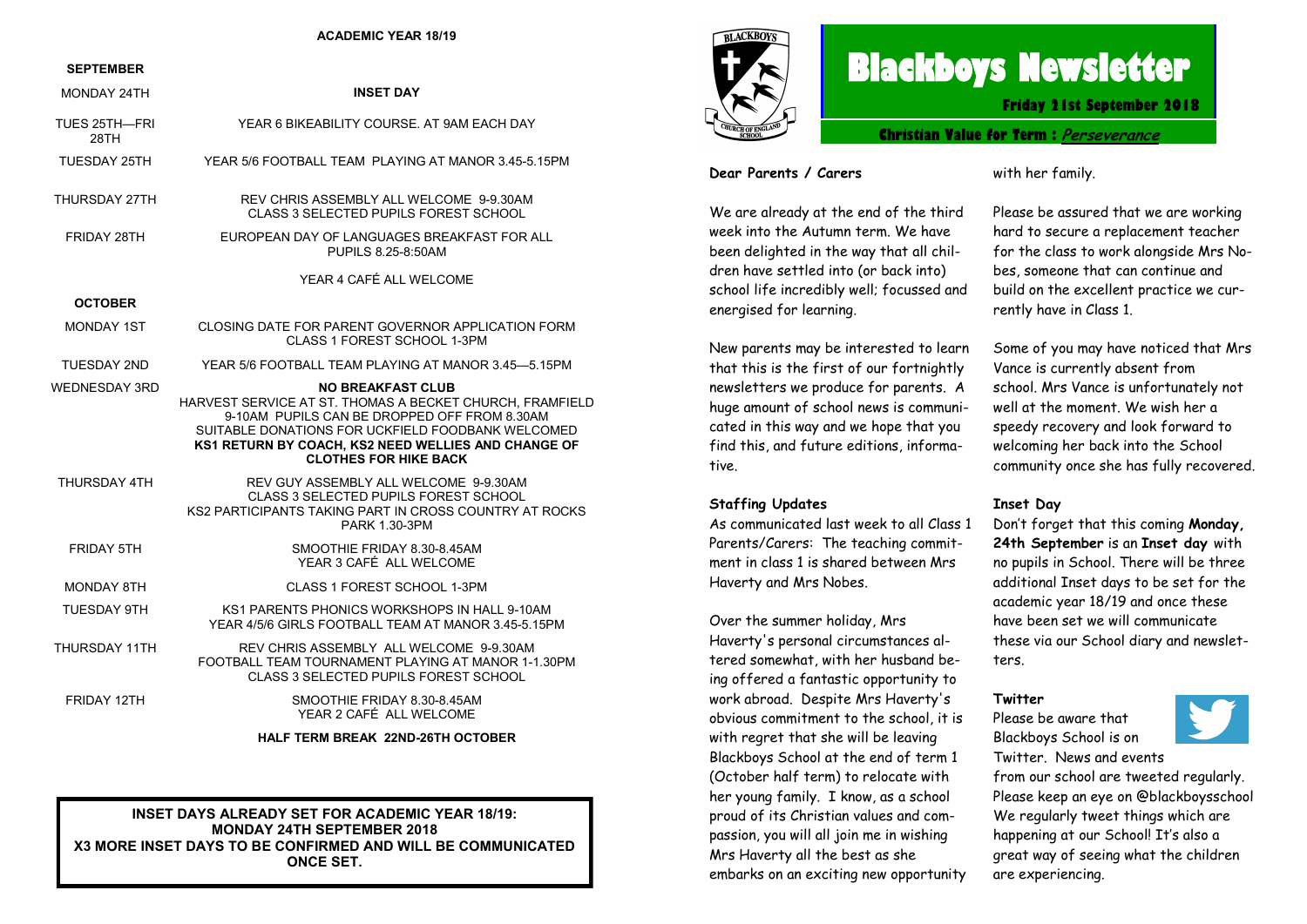#### **ACADEMIC YEAR 18/19**

#### **SEPTEMBER**

| MONDAY 24TH           | <b>INSET DAY</b>                                                                                                                                                                                                                                                                 |
|-----------------------|----------------------------------------------------------------------------------------------------------------------------------------------------------------------------------------------------------------------------------------------------------------------------------|
| TUES 25TH-FRI<br>28TH | YEAR 6 BIKEABILITY COURSE. AT 9AM EACH DAY                                                                                                                                                                                                                                       |
| TUESDAY 25TH          | YEAR 5/6 FOOTBALL TEAM PLAYING AT MANOR 3.45-5.15PM                                                                                                                                                                                                                              |
| THURSDAY 27TH         | REV CHRIS ASSEMBLY ALL WELCOME 9-9.30AM<br>CLASS 3 SELECTED PUPILS FOREST SCHOOL                                                                                                                                                                                                 |
| FRIDAY 28TH           | EUROPEAN DAY OF LANGUAGES BREAKFAST FOR ALL<br>PUPILS 8.25-8:50AM                                                                                                                                                                                                                |
|                       | YEAR 4 CAFÉ ALL WELCOME                                                                                                                                                                                                                                                          |
| <b>OCTOBER</b>        |                                                                                                                                                                                                                                                                                  |
| MONDAY 1ST            | CLOSING DATE FOR PARENT GOVERNOR APPLICATION FORM<br>CLASS 1 FOREST SCHOOL 1-3PM                                                                                                                                                                                                 |
| TUESDAY 2ND           | YEAR 5/6 FOOTBALL TEAM PLAYING AT MANOR 3.45-5.15PM                                                                                                                                                                                                                              |
| <b>WEDNESDAY 3RD</b>  | <b>NO BREAKFAST CLUB</b><br>HARVEST SERVICE AT ST. THOMAS A BECKET CHURCH, FRAMFIELD<br>9-10AM PUPILS CAN BE DROPPED OFF FROM 8.30AM<br>SUITABLE DONATIONS FOR UCKFIELD FOODBANK WELCOMED<br>KS1 RETURN BY COACH. KS2 NEED WELLIES AND CHANGE OF<br><b>CLOTHES FOR HIKE BACK</b> |
| THURSDAY 4TH          | REV GUY ASSEMBLY ALL WELCOME 9-9.30AM<br><b>CLASS 3 SELECTED PUPILS FOREST SCHOOL</b><br>KS2 PARTICIPANTS TAKING PART IN CROSS COUNTRY AT ROCKS<br>PARK 1.30-3PM                                                                                                                 |
| <b>FRIDAY 5TH</b>     | SMOOTHIE FRIDAY 8.30-8.45AM<br>YEAR 3 CAFÉ ALL WELCOME                                                                                                                                                                                                                           |
| <b>MONDAY 8TH</b>     | CLASS 1 FOREST SCHOOL 1-3PM                                                                                                                                                                                                                                                      |
| TUESDAY 9TH           | KS1 PARENTS PHONICS WORKSHOPS IN HALL 9-10AM<br>YEAR 4/5/6 GIRLS FOOTBALL TEAM AT MANOR 3.45-5.15PM                                                                                                                                                                              |
| THURSDAY 11TH         | REV CHRIS ASSEMBLY ALL WELCOME 9-9.30AM<br>FOOTBALL TEAM TOURNAMENT PLAYING AT MANOR 1-1.30PM<br><b>CLASS 3 SELECTED PUPILS FOREST SCHOOL</b>                                                                                                                                    |
| FRIDAY 12TH           | SMOOTHIE FRIDAY 8.30-8.45AM<br>YEAR 2 CAFÉ ALL WELCOME                                                                                                                                                                                                                           |
|                       | HALF TERM BREAK 22ND-26TH OCTOBER                                                                                                                                                                                                                                                |

**INSET DAYS ALREADY SET FOR ACADEMIC YEAR 18/19: MONDAY 24TH SEPTEMBER 2018 X3 MORE INSET DAYS TO BE CONFIRMED AND WILL BE COMMUNICATED ONCE SET.** 



# **Blackboys Newsletter**

**Friday 21st September 2018**

**Christian Value for Term : [Perseverance](https://www.google.co.uk/search?safe=strict&q=Perseverance&spell=1&sa=X&ved=0ahUKEwjdufaq38vdAhUHIsAKHUx5DOMQkeECCCgoAA)**

#### **Dear Parents / Carers**

We are already at the end of the third week into the Autumn term. We have been delighted in the way that all children have settled into (or back into) school life incredibly well; focussed and energised for learning.

New parents may be interested to learn that this is the first of our fortnightly newsletters we produce for parents. A huge amount of school news is communicated in this way and we hope that you find this, and future editions, informative.

## **Staffing Updates**

As communicated last week to all Class 1 Parents/Carers: The teaching commitment in class 1 is shared between Mrs Haverty and Mrs Nobes.

Over the summer holiday, Mrs Haverty's personal circumstances altered somewhat, with her husband being offered a fantastic opportunity to work abroad. Despite Mrs Haverty's obvious commitment to the school, it is with regret that she will be leaving Blackboys School at the end of term 1 (October half term) to relocate with her young family. I know, as a school proud of its Christian values and compassion, you will all join me in wishing Mrs Haverty all the best as she embarks on an exciting new opportunity with her family.

Please be assured that we are working hard to secure a replacement teacher for the class to work alongside Mrs Nobes, someone that can continue and build on the excellent practice we currently have in Class 1.

Some of you may have noticed that Mrs Vance is currently absent from school. Mrs Vance is unfortunately not well at the moment. We wish her a speedy recovery and look forward to welcoming her back into the School community once she has fully recovered.

## **Inset Day**

Don't forget that this coming **Monday, 24th September** is an **Inset day** with no pupils in School. There will be three additional Inset days to be set for the academic year 18/19 and once these have been set we will communicate these via our School diary and newsletters.

## **Twitter**

Please be aware that Blackboys School is on Twitter. News and events



from our school are tweeted regularly. Please keep an eye on @blackboysschool We regularly tweet things which are happening at our School! It's also a great way of seeing what the children are experiencing.